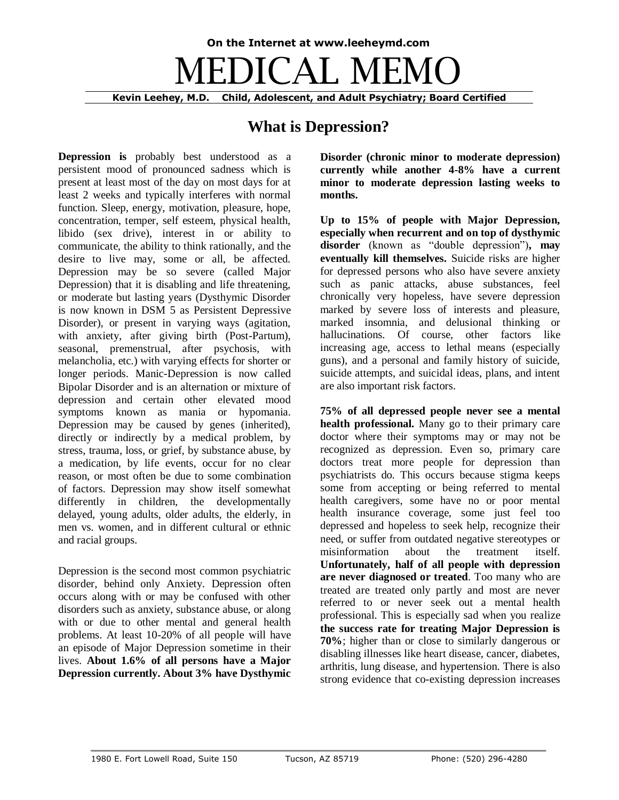# **On the Internet at www.leeheymd.com** DICAL ME **Kevin Leehey, M.D. Child, Adolescent, and Adult Psychiatry; Board Certified**

## **What is Depression?**

**Depression is** probably best understood as a persistent mood of pronounced sadness which is present at least most of the day on most days for at least 2 weeks and typically interferes with normal function. Sleep, energy, motivation, pleasure, hope, concentration, temper, self esteem, physical health, libido (sex drive), interest in or ability to communicate, the ability to think rationally, and the desire to live may, some or all, be affected. Depression may be so severe (called Major Depression) that it is disabling and life threatening, or moderate but lasting years (Dysthymic Disorder is now known in DSM 5 as Persistent Depressive Disorder), or present in varying ways (agitation, with anxiety, after giving birth (Post-Partum), seasonal, premenstrual, after psychosis, with melancholia, etc.) with varying effects for shorter or longer periods. Manic-Depression is now called Bipolar Disorder and is an alternation or mixture of depression and certain other elevated mood symptoms known as mania or hypomania. Depression may be caused by genes (inherited), directly or indirectly by a medical problem, by stress, trauma, loss, or grief, by substance abuse, by a medication, by life events, occur for no clear reason, or most often be due to some combination of factors. Depression may show itself somewhat differently in children, the developmentally delayed, young adults, older adults, the elderly, in men vs. women, and in different cultural or ethnic and racial groups.

Depression is the second most common psychiatric disorder, behind only Anxiety. Depression often occurs along with or may be confused with other disorders such as anxiety, substance abuse, or along with or due to other mental and general health problems. At least 10-20% of all people will have an episode of Major Depression sometime in their lives. **About 1.6% of all persons have a Major Depression currently. About 3% have Dysthymic**  **Disorder (chronic minor to moderate depression) currently while another 4-8% have a current minor to moderate depression lasting weeks to months.**

**Up to 15% of people with Major Depression, especially when recurrent and on top of dysthymic disorder** (known as "double depression")**, may eventually kill themselves.** Suicide risks are higher for depressed persons who also have severe anxiety such as panic attacks, abuse substances, feel chronically very hopeless, have severe depression marked by severe loss of interests and pleasure, marked insomnia, and delusional thinking or hallucinations. Of course, other factors like increasing age, access to lethal means (especially guns), and a personal and family history of suicide, suicide attempts, and suicidal ideas, plans, and intent are also important risk factors.

**75% of all depressed people never see a mental health professional.** Many go to their primary care doctor where their symptoms may or may not be recognized as depression. Even so, primary care doctors treat more people for depression than psychiatrists do. This occurs because stigma keeps some from accepting or being referred to mental health caregivers, some have no or poor mental health insurance coverage, some just feel too depressed and hopeless to seek help, recognize their need, or suffer from outdated negative stereotypes or misinformation about the treatment itself. **Unfortunately, half of all people with depression are never diagnosed or treated**. Too many who are treated are treated only partly and most are never referred to or never seek out a mental health professional. This is especially sad when you realize **the success rate for treating Major Depression is 70%**; higher than or close to similarly dangerous or disabling illnesses like heart disease, cancer, diabetes, arthritis, lung disease, and hypertension. There is also strong evidence that co-existing depression increases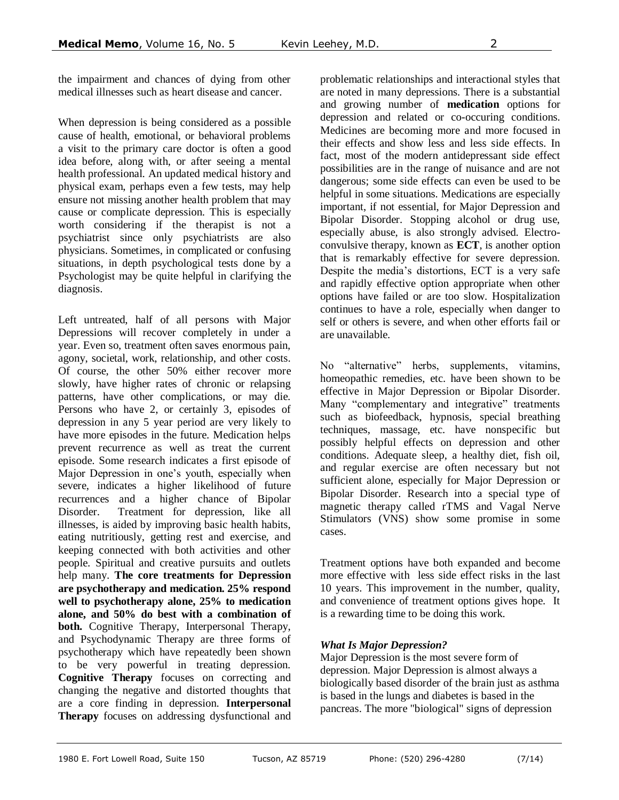the impairment and chances of dying from other medical illnesses such as heart disease and cancer.

When depression is being considered as a possible cause of health, emotional, or behavioral problems a visit to the primary care doctor is often a good idea before, along with, or after seeing a mental health professional. An updated medical history and physical exam, perhaps even a few tests, may help ensure not missing another health problem that may cause or complicate depression. This is especially worth considering if the therapist is not a psychiatrist since only psychiatrists are also physicians. Sometimes, in complicated or confusing situations, in depth psychological tests done by a Psychologist may be quite helpful in clarifying the diagnosis.

Left untreated, half of all persons with Major Depressions will recover completely in under a year. Even so, treatment often saves enormous pain, agony, societal, work, relationship, and other costs. Of course, the other 50% either recover more slowly, have higher rates of chronic or relapsing patterns, have other complications, or may die. Persons who have 2, or certainly 3, episodes of depression in any 5 year period are very likely to have more episodes in the future. Medication helps prevent recurrence as well as treat the current episode. Some research indicates a first episode of Major Depression in one's youth, especially when severe, indicates a higher likelihood of future recurrences and a higher chance of Bipolar Disorder. Treatment for depression, like all illnesses, is aided by improving basic health habits, eating nutritiously, getting rest and exercise, and keeping connected with both activities and other people. Spiritual and creative pursuits and outlets help many. **The core treatments for Depression are psychotherapy and medication. 25% respond well to psychotherapy alone, 25% to medication alone, and 50% do best with a combination of both.** Cognitive Therapy, Interpersonal Therapy, and Psychodynamic Therapy are three forms of psychotherapy which have repeatedly been shown to be very powerful in treating depression. **Cognitive Therapy** focuses on correcting and changing the negative and distorted thoughts that are a core finding in depression. **Interpersonal Therapy** focuses on addressing dysfunctional and

problematic relationships and interactional styles that are noted in many depressions. There is a substantial and growing number of **medication** options for depression and related or co-occuring conditions. Medicines are becoming more and more focused in their effects and show less and less side effects. In fact, most of the modern antidepressant side effect possibilities are in the range of nuisance and are not dangerous; some side effects can even be used to be helpful in some situations. Medications are especially important, if not essential, for Major Depression and Bipolar Disorder. Stopping alcohol or drug use, especially abuse, is also strongly advised. Electroconvulsive therapy, known as **ECT**, is another option that is remarkably effective for severe depression. Despite the media's distortions, ECT is a very safe and rapidly effective option appropriate when other options have failed or are too slow. Hospitalization continues to have a role, especially when danger to self or others is severe, and when other efforts fail or are unavailable.

No "alternative" herbs, supplements, vitamins, homeopathic remedies, etc. have been shown to be effective in Major Depression or Bipolar Disorder. Many "complementary and integrative" treatments such as biofeedback, hypnosis, special breathing techniques, massage, etc. have nonspecific but possibly helpful effects on depression and other conditions. Adequate sleep, a healthy diet, fish oil, and regular exercise are often necessary but not sufficient alone, especially for Major Depression or Bipolar Disorder. Research into a special type of magnetic therapy called rTMS and Vagal Nerve Stimulators (VNS) show some promise in some cases.

Treatment options have both expanded and become more effective with less side effect risks in the last 10 years. This improvement in the number, quality, and convenience of treatment options gives hope. It is a rewarding time to be doing this work.

#### *What Is Major Depression?*

Major Depression is the most severe form of depression. Major Depression is almost always a biologically based disorder of the brain just as asthma is based in the lungs and diabetes is based in the pancreas. The more "biological" signs of depression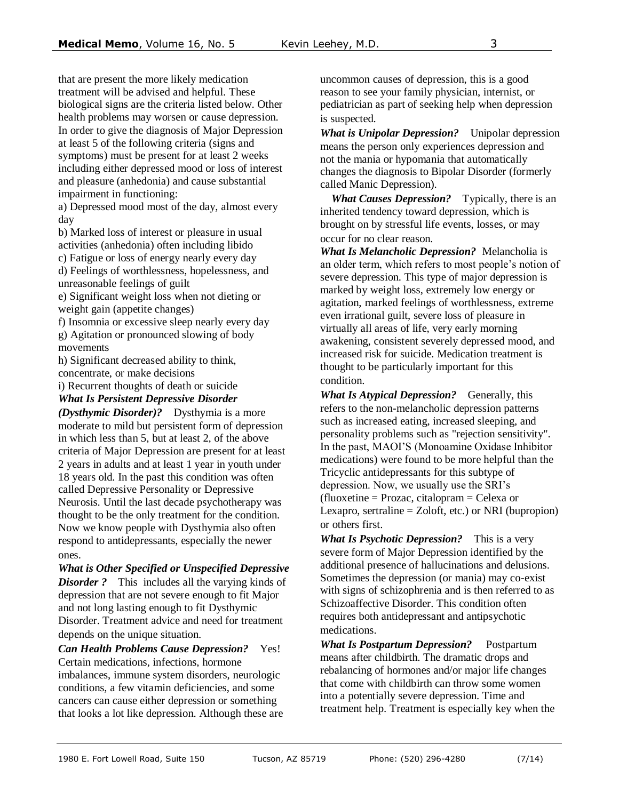that are present the more likely medication treatment will be advised and helpful. These biological signs are the criteria listed below. Other health problems may worsen or cause depression. In order to give the diagnosis of Major Depression at least 5 of the following criteria (signs and symptoms) must be present for at least 2 weeks including either depressed mood or loss of interest and pleasure (anhedonia) and cause substantial impairment in functioning:

a) Depressed mood most of the day, almost every day

b) Marked loss of interest or pleasure in usual activities (anhedonia) often including libido

c) Fatigue or loss of energy nearly every day d) Feelings of worthlessness, hopelessness, and

unreasonable feelings of guilt

e) Significant weight loss when not dieting or weight gain (appetite changes)

f) Insomnia or excessive sleep nearly every day g) Agitation or pronounced slowing of body movements

h) Significant decreased ability to think, concentrate, or make decisions

i) Recurrent thoughts of death or suicide

*What Is Persistent Depressive Disorder* 

*(Dysthymic Disorder)?*  Dysthymia is a more moderate to mild but persistent form of depression in which less than 5, but at least 2, of the above criteria of Major Depression are present for at least 2 years in adults and at least 1 year in youth under 18 years old. In the past this condition was often called Depressive Personality or Depressive Neurosis. Until the last decade psychotherapy was thought to be the only treatment for the condition. Now we know people with Dysthymia also often respond to antidepressants, especially the newer ones.

*What is Other Specified or Unspecified Depressive Disorder* ? This includes all the varying kinds of depression that are not severe enough to fit Major and not long lasting enough to fit Dysthymic Disorder. Treatment advice and need for treatment depends on the unique situation.

*Can Health Problems Cause Depression?* Yes! Certain medications, infections, hormone imbalances, immune system disorders, neurologic conditions, a few vitamin deficiencies, and some cancers can cause either depression or something that looks a lot like depression. Although these are uncommon causes of depression, this is a good reason to see your family physician, internist, or pediatrician as part of seeking help when depression is suspected.

*What is Unipolar Depression?* Unipolar depression means the person only experiences depression and not the mania or hypomania that automatically changes the diagnosis to Bipolar Disorder (formerly called Manic Depression).

What Causes Depression? Typically, there is an inherited tendency toward depression, which is brought on by stressful life events, losses, or may occur for no clear reason.

*What Is Melancholic Depression?* Melancholia is an older term, which refers to most people's notion of severe depression. This type of major depression is marked by weight loss, extremely low energy or agitation, marked feelings of worthlessness, extreme even irrational guilt, severe loss of pleasure in virtually all areas of life, very early morning awakening, consistent severely depressed mood, and increased risk for suicide. Medication treatment is thought to be particularly important for this condition.

*What Is Atypical Depression?* Generally, this refers to the non-melancholic depression patterns such as increased eating, increased sleeping, and personality problems such as "rejection sensitivity". In the past, MAOI'S (Monoamine Oxidase Inhibitor medications) were found to be more helpful than the Tricyclic antidepressants for this subtype of depression. Now, we usually use the SRI's (fluoxetine = Prozac, citalopram = Celexa or Lexapro, sertraline  $=$  Zoloft, etc.) or NRI (bupropion) or others first.

*What Is Psychotic Depression?* This is a very severe form of Major Depression identified by the additional presence of hallucinations and delusions. Sometimes the depression (or mania) may co-exist with signs of schizophrenia and is then referred to as Schizoaffective Disorder. This condition often requires both antidepressant and antipsychotic medications.

*What Is Postpartum Depression?*  Postpartum means after childbirth. The dramatic drops and rebalancing of hormones and/or major life changes that come with childbirth can throw some women into a potentially severe depression. Time and treatment help. Treatment is especially key when the